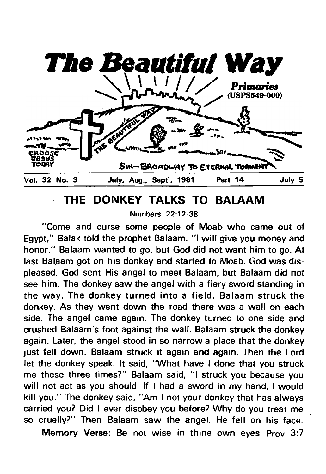

## **THE DONKEY TALKS TO BALAAM**

Numbers 22:12-38

**"Come and curse some people of Moab who came out of Egypt," Balak told the prophet Balaam. "I will give you money and honor." Balaam wanted to go, but God did not want him to go. At last Balaam got on his donkey and started to Moab. God was displeased. God sent His angel to meet Balaam, but Balaam did not see him. The donkey saw the angel with a fiery sword standing in the way. The donkey turned into a field. Balaam struck the donkey. As they went down the road there was a wall on each side. The angel came again. The donkey turned to one side and crushed Balaam's foot against the wall. Balaam struck the donkey again. Later, the angel stood in so narrow a place that the donkey just fell down. Balaam struck it again and again. Then the Lord let the donkey speak. It said, "What have I done that you struck me these three times?" Balaam said, "I struck you because you will not act as you should. If I had a sword in my hand, I would kill you." The donkey said, "Am I not your donkey that has always carried you? Did I ever disobey you before? Why do you treat me so cruelly?" Then Balaam saw the angel. He fell on his face.**

**Memory Verse: Be not wise in thine own eyes: Prov. 3:7**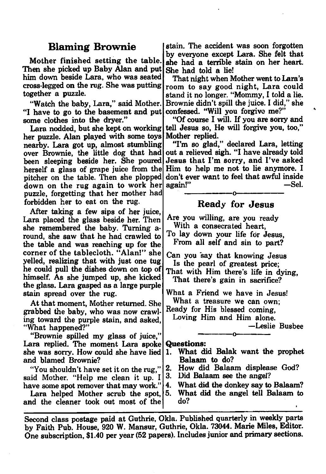## **Blaming Brownie**

Mother finished setting the table. Then she picked up Baby Alan and put him down beside Lara, who was seated cross-legged on the rug. She was putting together a puzzle.

"Watch the baby, Lara," said Mother. "I have to go to the basement and put some clothes into the dryer."

Lara nodded, but she kept on working her puzzle. Alan played with some toys nearby. Lara got up, almost stumbling over Brownie, the little dog that had been sleeping beside her. She poured herself a glass of grape juice from the pitcher on the table. Then she plopped down on the rug again to work her puzzle, forgetting that her mother had forbidden her to eat on the rug.

After taking a few sips of her juice, Lara placed the glass beside her. Then she remembered the baby. Turning around, she saw that he had crawled to the table and was reaching up for the corner of the tablecloth. "Alan!" she yelled, realizing that with just one tug he could pull the dishes down on top of himself. As she jumped up, she kicked the glass. Lara gasped as a large purple stain spread over the rug.

At that moment, Mother returned. She grabbed the baby, who was now crawling toward the purple stain, and asked, "What happened?"

" Brownie spilled my glass of juice," Lara replied. The moment Lara spoke she was sorry. How could she have lied and blamed Brownie?

"You shouldn't have set it on the rug," said Mother. "Help me clean it up. I have some spot remover that may work."

Lara helped Mother scrub the spot, 5. and the cleaner took out most of the

stain. The accident was soon forgotten by everyone except Lara. She felt that she had a terrible stain on her heart. She had told a lie!

That night when Mother went to Lara's room to say good night, Lara could stand it no longer. " Mommy, I told a lie. Brownie didn't spill the juice. I did," she confessed. "Will you forgive me?"

"Of course I will. If you are sorry and tell Jesus so, He will forgive you, too," Mother replied.

"I'm so glad," declared Lara, letting out a relieved sigh. "I have already told Jesus that I'm sorry, and I've asked Him to help me not to lie anymore. I don't ever want to feel that awful inside<br>again!"<br>Sel. again!" **------------------- o-------------------**

## **Ready for Jesus**

Are you willing, are you ready With a consecrated heart, To lay down your life for Jesus, From all self and sin to part?

Can you say that knowing Jesus Is the pearl of greatest price;

That with Him there's life in dying, That there's gain in sacrifice?

What a Friend we have in Jesus! What a treasure we can own;

Ready for His blessed coming,

Loving Him and Him alone.

—Leslie Busbee

#### **Questions:**

1. What did Balak want the prophet Balaam to do?

-------------- o---------------

- 2. How did Balaam displease God?
	- Did Balaam see the angel?
- 4. What did the donkey say to Balaam? 5. What did the angel tell Balaam to do?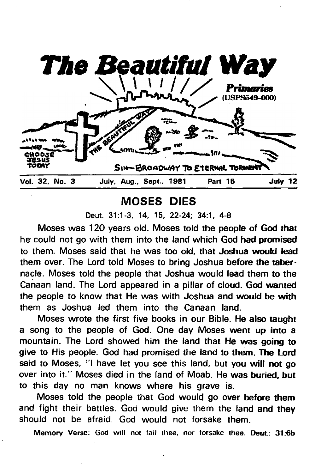

# **MOSES DIES**

**Moses was 120 years old. Moses told the people of God that he could not go with them into the land which God had promised to them. Moses said that he was too old, that Joshua would lead them over. The Lord told Moses to bring Joshua before the tabernacle. Moses told the people that Joshua would lead them to the Canaan land. The Lord appeared in a pillar of cloud. God wanted the people to know that He was with Joshua and would be with them as Joshua led them into the Canaan land.**

**Moses wrote the first five books in our Bible. He also taught a song to the people of God. One day Moses went up into a mountain. The Lord showed him the land that He was going to give to His people. God had promised the land to them. The Lord said to Moses, "I have let you see this land, but you will not go over into it." Moses died in the land of Moab. He was buried, but to this day no man knows where his grave is.**

**Moses told the people that God would go over before them and fight their battles, God would give them the land and they should not be afraid. God would not forsake them.**

**Memory Verse: God will not fail thee, nor forsake thee. Deut.: 31:6b**

Deut. 31:1-3, 14, 15, 22-24; 34:1, 4-8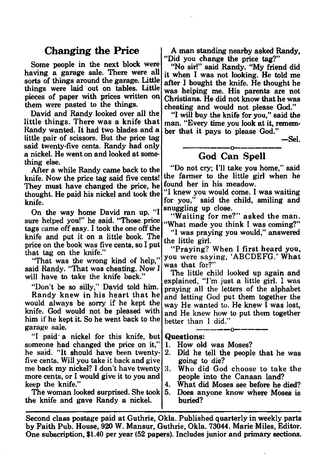## **Changing the Price**

Some people in the next block were having a garage sale. There were all sorts of things around the garage. Little things were laid out on tables. Little pieces of paper with prices written on them were pasted to the things.

David and Randy looked over all the little things. There was a knife that Randy wanted. It had two blades and a little pair of scissors. But the price tag said twenty-five cents. Randy had only a nickel. He went on and looked at something else.

After a while Randy came back to the knife. Now the price tag said five cents! They must have changed the price, he thought. He paid his nickel and took the knife.

On the way home David ran up. "I sure helped you!" he said. "Those, price tags came off easy. I took the one off the knife and put it on a little book. The price on the book was five cents, so I put that tag on the knife."

"That was the wrong kind of help," said Randy. "That was cheating. Now I will have to take the knife back."

"Don't be so silly," David told him.

Randy knew in his heart that he would always be sorry if he kept the knife. God would not be pleased with him if he kept it. So he went back to the garage sale.

"I paid a nickel for this knife, but someone had changed the price on it," he said. "It should have been twentyfive cents. Will you take it back and give me back my nickel? I don't have twenty more cents, or I would give it to you and keep the knife."

The woman looked surprised. She took the knife and gave Randy a nickel.

A man standing nearby asked Randy, "Did you change the price tag?"

"No sir!" said Randy. "My friend did it when I was not looking. He told me after I bought the knife. He thought he was helping me. His parents are not Christians. He did not know that he was cheating and would not please God."

"I will buy the knife for you," said the man. "Every time you look at it, remember that it pays to please God."

—Sel.

#### -------------------- o--------------------- **God Can Spell**

" Do not cry; I'll take you home," said the farmer to the little girl when he found her in his meadow.

"I knew you would come. I was waiting for you," said the child, smiling and snuggling up close.

"Waiting for me?" asked the man. "What made you think I was coming?"

"I was praying you would," answered the little girl.

" Praying? When I first heard you, you were saying, 'ABCDEFG.' What was that for?"

The little child looked up again and explained, "I'm just a little girl. I was praying all the letters of the alphabet and letting God put them together the way He wanted to. He knew I was lost, and He knew how to put them together better than I did."

**Questions:**

- 1. How old was Moses?
- 2. Did he tell the people that he was going to die?
- 3. Who did God choose to take the people into the Canaan land?
- 4. What did Moses see before he died?
- 5. Does anyone know where Moses is buried?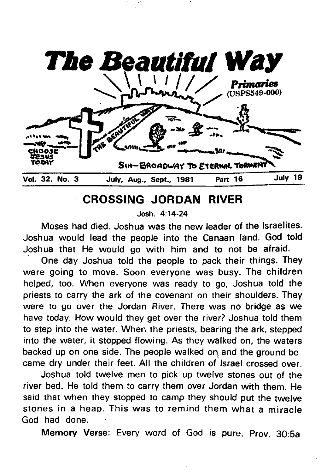

# **CROSSING JORDAN RIVER**

**Josh. 4:14-24**

**Moses had died. Joshua was the new leader of the Israelites. Joshua would lead the people into the Canaan land. God told Joshua that He would go with him and to not be afraid.**

**One day Joshua told the people to pack their things. They were going to move. Soon everyone was busy. The children helped, too. When everyone was ready to go, Joshua told the priests to carry the ark of the covenant on their shoulders. They were to go over the Jordan River. There was no bridge as we have today. How would they get over the river? Joshua told them to step into the water. When the priests, bearing the ark, stepped into the water, it stopped flowing. As they walked on, the waters backed up on one side. The people walked on and the ground became dry under their feet. All the children of Israel crossed over.**

**Joshua told twelve men to pick up twelve stones out of the river bed. He told them to carry them over Jordan with them. He said that when they stopped to camp they should put the twelve** stones in a heap. This was to remind them what a miracle **God had done.**

**Memory Verse: Every word of God is pure. Prov. 30:5a**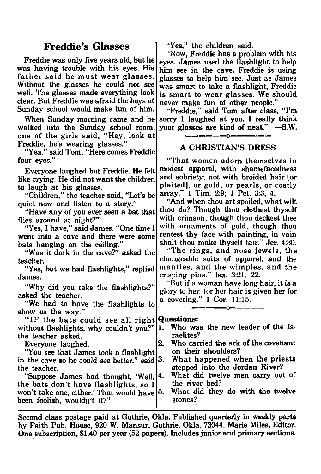## **Freddie's Glasses**

Freddie was only five years old, but he was having trouble with his eyes. His father said he must wear glasses. Without the glasses he could not see well. The glasses made everything look clear. But Freddie was afraid the boys at Sunday school would make fun of him.

When Sunday morning came and he walked into the Sunday school room, one of the girls said, "Hey, look at Freddie, he's wearing glasses.'

"Yea," said Tom, "Here comes Freddie four eyes."

Everyone laughed but Freddie. He felt like crying. He did not want the children to laugh at his glasses.

"Children," the teacher said, "Let's be quiet now and listen to a story."

"Have any of you ever seen a bat that flies around at night?"

"Yes, I have," said James. "One time I went into a cave and there were some bats hanging on the ceiling."

"Was it dark in the cave?" asked the teacher.

"Yes, but we had flashlights," replied James.

"Why did you take the flashlights?" asked the teacher.

" We had to have the flashlights to show us the way."

"IF the bats could see all right without flashlights, why couldn't you?"|1. the teacher asked.

Everyone laughed.

"You see that James took a flashlight in the cave so he could see better," said  $|3$ . the teacher.

"Suppose James had thought, 'Well, the bats don't have flashlights, so I won't take one, either.' That would have been foolish, wouldn't it?"

"Yes," the children said.

" Now, Freddie has a problem with his eyes. James used the flashlight to help him see in the cave. Freddie is using glasses to help him see. Just as James was smart to take a flashlight, Freddie is smart to wear glasses. We should never make fun of other people."

"Freddie," said Tom after class, "I'm sorry I laughed at you. I really think your glasses are kind of neat." —S.W.

## ----------------- o------------------ A CHRISTIAN'S DRESS

" That women adorn themselves in modest apparel, with shamefacedness and sobriety; not with broided hair [or plaitedj, or gold, or pearls, or costly array." 1 Tim. 2:9; 1 Pet. 3:3, 4.

"And when thou art spoiled, what wilt thou do? Though thou clothest thyself with crimson, though thou deckest thee with ornaments of gold, though thou rentest thy face with painting, in vain shalt thou make thyself fair." Jer. 4:30.

"The rings, and nose jewels, the changeable suits of apparel, and the m antles, and the wim ples, and the crisping pins." Isa. 3:21, 22.

" But if a woman have long hair, it is a glory to her: for her hair is given her for a covering." 1 Cor. 11:15.

-------------- o---------------

#### **Questions:**

|           |  | 1. Who was the new leader of the Is- |  |  |
|-----------|--|--------------------------------------|--|--|
| raelites? |  |                                      |  |  |
|           |  |                                      |  |  |

2. Who carried the ark of the covenant on their shoulders?

What happened when the priests stepped into the Jordan River?.

4. What did twelve men carry out of the river bed?

What did they do with the twelve stones?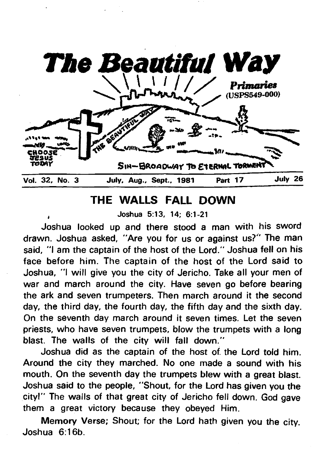

# **THE WALLS FALL DOWN**

**, Joshua 5:13, 14; 6:1-21**

**Joshua looked up and there stood a man with his sword drawn. Joshua asked, "Are you for us or against us?" The man said, "I am the captain of the host of the Lord." Joshua fell on his face before him. The captain of the host of the Lord said to Joshua, "I will give you the city of Jericho. Take all your men of war and march around the city. Have seven go before bearing the ark and seven trumpeters. Then march around it the second day, the third day, the fourth day, the fifth day and the sixth day. On the seventh day march around it seven times. Let the seven priests, who have seven trumpets, blow the trumpets with a long blast. The walls of the city will fall down."**

**Joshua did as the captain of the host of. the Lord told him. Around the city they marched. No one made a sound with his mouth. On the seventh day the trumpets blew with a great blast. Joshua said to the people, "Shout, for the Lord has given you the city!" The walls of that great city of Jericho fell down. God gave them a great victory because they obeyed Him.**

**Memory Verse; Shout; for the Lord hath given you the city. Joshua 6:16b.**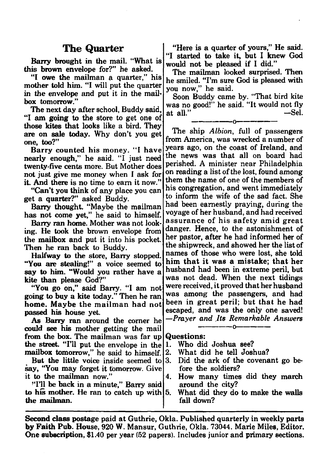Barry brought in the mail. "What is this brown envelope for?" he asked.

"I owe the mailman a quarter," his mother told him. "I will put the quarter in the envelope and put it in the mailbox tomorrow."

The next day after school, Buddy said, "I am going to the store to get one of those kites that looks like a bird. They are on sale today. Why don't you get one, too?"

Barry counted his money. "I have nearly enough," he said. "I just need twenty-five cents more. But Mother does not just give me money when I ask for it. And there is no time to earn it now."

"Can't you think of any place you can get a quarter?" asked Buddy.

Barry thought. "Maybe the mailman has not come yet," he said to himself.

Barry ran home. Mother was not looking. He took the brown envelope from the mailbox and put it into his pocket. Then he ran back to Buddy.

Halfway to the store, Barry stopped. "You are stealing!" a voice seemed to say to him. "Would you rather have a kite than please God?"

"You go on," said Barry. "I am not going to buy a kite today." Then he ran home. Maybe the mailman had not passed his house yet.

As Barry ran around the corner he could see his mother getting the mail from the box. The mailman was far up the street. "I'll put the envelope in the mailbox tomorrow," he said to himself.

But the little voice inside seemed to say, "You may forget it tomorrow. Give it to the mailman now."

" I'll be back in a minute," Barry said to his mother. He ran to catch up with  $5$ . the mailman.

**The Quarter** | "Here is a quarter of yours," He said. "I started to take it, but I knew God would not be pleased if I did."

The mailman looked surprised. Then he smiled. "I'm sure God is pleased with you now," he said.

Soon Buddy came by. "That bird kite was no good!" he said. "It would not fly<br>at all." —Sel. at all."

----------------- o------------------

The ship *Albion*, full of passengers from America, was wrecked a number of years ago, on the coast of Ireland, and the news was that all on board had perished. A minister near Philadelphia on reading a list of the lost, found among them the name of one of the members of his congregation, and went immediately to inform the wife of the sad fact. She had been earnestly praying, during the voyage of her husband, and had received assurance of his safety amid great danger. Hence, to the astonishment of her pastor, after he had informed her of the shipwreck, and showed her the list of names of those who were lost, she told him that it was a mistake; that her husband had been in extreme peril, but was not dead. When the next tidings were received, it proved that her husband was among the passengers, and had been in great peril; but that he had escaped, and was the only one saved! *—Prayer and Its Remarkable Answers* **------------o------------**

Questions:

- 1. Who did Joshua see?
- 2. What did he tell Joshua?
- 3. Did the ark of the covenant go before the soldiers?
- 4. How many times did they march around the city?
	- What did they do to make the walls fall down?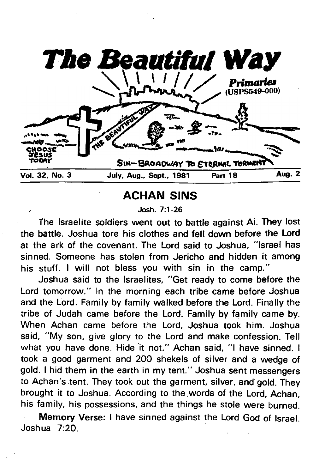

**ACHAN SINS**

**/ Josh. 7:1-26**

**The Israelite soldiers went out to battle against Ai. They lost the battle. Joshua tore his clothes and fell down before the Lord at the ark of the covenant. The Lord said to Joshua, "Israel has sinned. Someone has stolen from Jericho and hidden it among his stuff. I will not bless you with sin in the camp."**

**Joshua said to the Israelites, "Get ready to come before the Lord tomorrow." In the morning each tribe came before Joshua and the Lord. Family by family walked before the Lord. Finally the tribe of Judah came before the Lord. Family by family came by. When Achan came before the Lord, Joshua took him. Joshua said, "My son, give glory to the Lord and make confession. Tell what you have done. Hide it not." Achan said, "I have sinned. I took a good garment and 200 shekels of silver and a wedge of gold. I hid them in the earth in my tent." Joshua sent messengers to Achan's tent. They took out the garment, silver, and gold. They brought it to Joshua. According to the words of the Lord, Achan, his family, his possessions, and the things he stole were burned.**

**Memory Verse: I have sinned against the Lord God of Israel. Joshua 7:20.**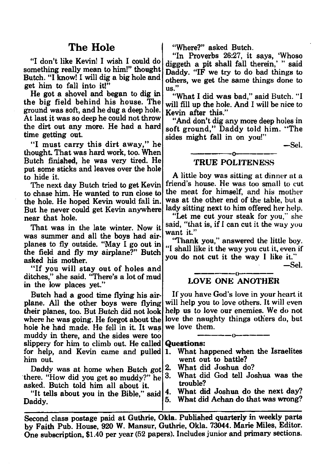"I don't like Kevin! I wish I could do something really mean to him!" thought Butch. "I know! I will dig a big hole and get him to fall into it!"

He got a shovel and began to dig in the big field behind his house. The ground was soft, and he dug a deep hole. At last it was so deep he could not throw the dirt out any more. He had a hard time getting out.

"I must carry this dirt away," he thought. That was hard work, too. When Butch finished, he was very tired. He put some sticks and leaves over the hole to hide it.

The next day Butch tried to get Kevin to chase him. He wanted to run close to the hole. He hoped Kevin would fall in. But he never could get Kevin anywhere near that hole.

That was in the late winter. Now it was summer and all the boys had airplanes to fly outside. " May I go out in the field and fly my airplane?" Butch asked his mother.

"If you will stay out of holes and ditches," she said. "There's a lot of mud in the low places yet."

Butch had a good time flying his airplane. All the other boys were flying their planes, too. But Butch did not look where he was going. He forgot about the hole he had made. He fell in it. It was muddy in there, and the sides were too slippery for him to climb out. He called for help, and Kevin came and pulled him out.

Daddy was at home when Butch got there. "How did you get so muddy?" he asked. Butch told him all about it.

"It tells about you in the Bible," said Daddy.

The Hole  $\qquad$  | "Where?" asked Butch.

"In Proverbs 26:27, it says, 'Whoso diggeth a pit shall fall therein,' " said Daddy. "IF we try to do bad things to others, we get the same things done to us."

"What I did was bad." said Butch. "I will fill up the hole. And I will be nice to Kevin after this."

"And don't dig any more deep holes in soft ground," Daddy told him. "The sides might fall in on you!"

—Sel.

#### ----------------- o------------------ TRUE POLITENESS

A little boy was sitting at dinner at a friend's house. He was too small to cut the meat for himself, and his mother was at the other end of the table, but a lady sitting next to him offered her help.

"Let me cut your steak for you," she said, "that is, if I can cut it the way you want it."

'Thank you," answered the little boy. "I shall like it the way you cut it, even if you do not cut it the way I like it."

—Sel.

#### ----------------- o--------------- LOVE ONE ANOTHER

If you have God's love in your heart it will help you to love others. It will even help us to love our enemies. We do not love the naughty things others do, but we love them.

**Questions:**

1. What happened when the Israelites went out to battle?

- 2. What did Joshua do?
- 3. What did God tell Joshua was the trouble?

4. What did Joshua do the next day?

5. What did Achan do that was wrong?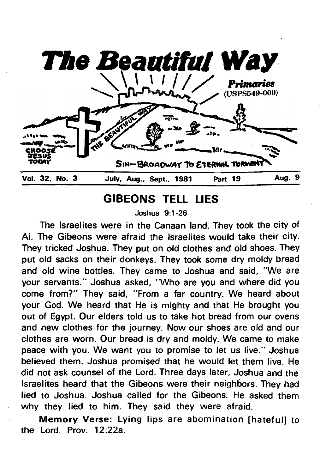

# **GIBEONS TELL LIES**

**Joshua 9:1-26**

**The Israelites were in the Canaan land. They took the city of Ai. The Gibeons were afraid the Israelites would take their city. They tricked Joshua. They put on old clothes and old shoes. They put old sacks on their donkeys. They took some dry moldy bread and old wine bottles. They came to Joshua and said, "We are your servants." Joshua asked, "Who are you and where did you come from?" They said, "From a far country. We heard about your God. We heard that He is mighty and that He brought you out of Egypt. Our elders told us to take hot bread from our ovens and new clothes for the journey. Now our shoes are old and our clothes are worn. Our bread is dry and moldy. We came to make peace with you. We want you to promise to let us live." Joshua believed them. Joshua promised that he would let them live. He did not ask counsel of the Lord. Three days later, Joshua and the Israelites heard that the Gibeons were their neighbors. They had lied to Joshua. Joshua called for the Gibeons. He asked them why they lied to him. They said they were afraid.**

**Memory Verse: Lying lips are abomination [hateful] to the Lord. Prov. 12:22a.**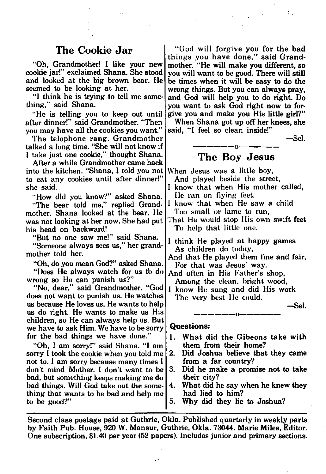"Oh, Grandmother! I like your new cookie jar!" exclaimed Shana. She stood and looked at the big brown bear. He seemed to be looking at her.

"I think he is trying to tell me something," said Shana.

" He is telling you to keep out until after dinner!" said Grandmother. "Then you may have all the cookies you want."

The telephone rang. Grandmother talked a long time. "She will not know if I take just one cookie," thought Shana.

After a while Grandmother came back into the kitchen. "Shana, I told you not to eat any cookies until after dinner!" she said.

"How did you know?" asked Shana.

"The bear told me," replied Grandmother. Shana looked at the bear. He was not looking at her now. She had put his head on backward!

"But no one saw me!" said Shana.

"Someone always sees us," her grandmother told her.

"Oh, do you mean God?" asked Shana. "Does He always watch for us to do wrong so He can punish us?"

"No, dear," said Grandmother. "God does not want to punish us. He watches us because He loves us. He wants to help us do right. He wants to make us His children, so He can always help us. But we have to ask Him. We have to be sorry for the bad things we have done."

"Oh, I am sorry!" said Shana. "I am sorry I took the cookie when you told me not to. 1 am sorry because many times I don't mind Mother. I don't want to be bad, but something keeps making me do bad things. Will God take out the something that wants to be bad and help me to be good?"

The Cookie Jar | "God will forgive you for the bad things you have done," said Grandmother. " He will make you different, so you will want to be good. There will still be times when it will be easy to do the wrong things. But you can always pray, and God will help you to do right. Do you want to ask God right now to forgive you and make you His little girl?"

> When Shana got up off her knees, she said, "I feel so clean inside!"

> > —Sel.

### **---------------o--------------- The Boy Jesus**

When Jesus was a little boy,

And played beside the street,

I know that when His mother called, He ran on Hying feet.

I know that when He saw a child Too small or lame to run,

That He would stop His own swift feet To help that little one.

I think He played at happy games As children do today,

And that He played them fine and fair, For that was Jesus' way.

And often in His Father's shop, Among the clean, bright wood,

1 know He sang and did His work The very best He could.

**---------------o---------------**

-Sel.

#### **Questions:**

- 1. What did the Gibeons take with them from their home?
- 2. Did Joshua believe that they came from a far country?
- 3. Did he make a promise not to take their city?
- 4. What did he say when he knew they had lied to him?
- 5. Why did they lie to Joshua?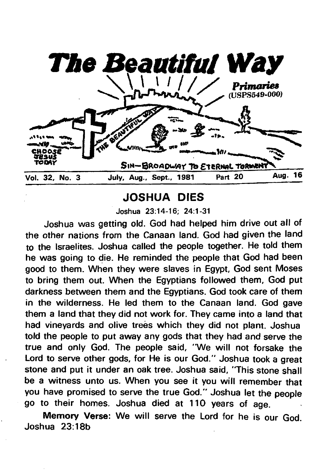

# **JOSHUA DIES**

**Joshua 23:14-16; 24:1-31**

**Joshua was getting old. God had helped him drive out all of the other nations from the Canaan land. God had given the land to the Israelites. Joshua called the people together. He told them he was going to die. He reminded the people that God had been good to them. When they were slaves in Egypt, God sent Moses to bring them out. When the Egyptians followed them, God put darkness between them and the Egyptians. God took care of them in the wilderness. He led them to the Canaan land. God gave them a land that they did not work for. They came into a land that had vineyards and olive trees which they did not plant. Joshua told the people to put away any gods that they had and serve the true and only God. The people said, "We will not forsake the Lord to serve other gods, for He is our God." Joshua took a great stone and put it under an oak tree. Joshua said, "This stone shall be a witness unto us. When you see it you will remember that you have promised to serve the true God." Joshua let the people go to their homes. Joshua died at 110 years of age.**

**Memory Verse: We will serve the Lord for he is our God. Joshua 23:18b**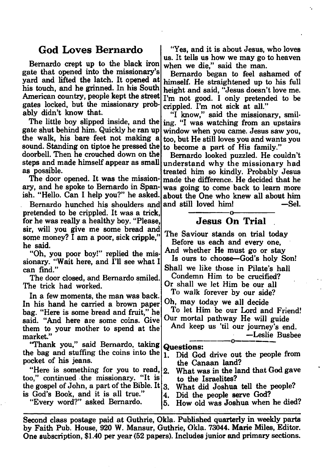#### **God Loves Bernardo**

Bernardo crept up to the black iron gate that opened into the missionary's yard and lifted the latch. It opened at his touch, and he grinned. In his South American country, people kept the street gates locked, but the missionary probably didn't know that.

The little boy slipped inside, and the gate shut behind him. Quickly he ran up the walk, his bare feet not making a sound. Standing on tiptoe he pressed the doorbell. Then he crouched down on the steps and made himself appear as small as possible.

The door opened. It was the missionary, and he spoke to Bernardo in Spanish. " Hello. Can I help you?" he asked.

Bernardo hunched his shoulders and pretended to be crippled. It was a trick, for he was really a healthy boy. "Please, sir, will you give me some bread and some money? I am a poor, sick cripple," he said.

" Oh, you poor boy!" replied the missionary. "Wait here, and I'll see what I can find."

The door closed, and Bernardo smiled. The trick had worked.

In a few moments, the man was back. In his hand he carried a brown paper bag. " Here is some bread and fruit," he said. "And here are some coins. Give them to your mother to spend at the market."

"Thank you," said Bernardo, taking the bag and stuffing the coins into the pocket of his jeans.

" Here is something for you to read, too," continued the missionary. " It is the gospel of John, a part of the Bible. It  $|3|$ . is God's Book, and it is all true."

"Every word?" asked Bernardo.

"Yes, and it is about Jesus, who loves us. It tells us how we may go to heaven when we die," said the man.

Bernardo began to feel ashamed of himself. He straightened up to his full height and said, "Jesus doesn't love me. I'm not good. I only pretended to be crippled. I'm not sick at all."

"I know," said the missionary, smiling. "I was watching from an upstairs window when you came. Jesus saw you, too, but He still loves you and wants you to become a part of His family."

Bernardo looked puzzled. He couldn't understand why the missionary had treated him so kindly. Probably Jesus made the difference. He decided that he was going to come back to learn more about the One who knew all about him |and still loved him! ——Sel. **-----------------o-----------------**

## **Jesus On Trial .**

The Saviour stands on trial today Before us each and every one, And whether He must go or stay Is ours to choose—God's holy Son!

Shall we like those in Pilate's hall Condemn Him to be crucified?

Or shall we let Him be our all

To walk forever by our side?

Oh, may today we all decide

To let Him be our Lord and Friend! Our mortal pathway He will guide

And keep us 'til our journey's end. —Leslie Busbee **---------------o—------------**

# **Questions:**

- 1. Did God drive out the people from the Canaan land?
- 2. What was in the land that God gave to the Israelites?
	- 3. What did Joshua tell the people?
- 4. Did the people serve God?
- 5. How old was Joshua when he died?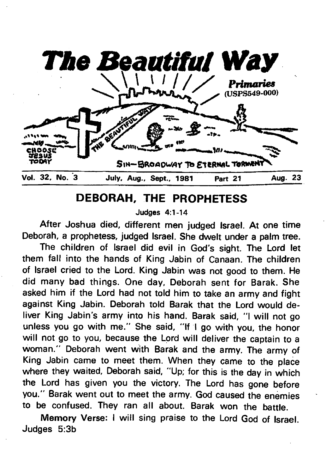

# **DEBORAH, THE PROPHETESS**

**Judges 4:1-14**

**After Joshua died, different men judged Israel. At one time Deborah, a prophetess, judged Israel. She dwelt under a palm tree.**

**The children of Israel did evil in God's sight. The Lord let them fall into the hands of King Jabin of Canaan. The children of Israel cried to the Lord. King Jabin was not good to them. He did many bad things. One day, Deborah sent for Barak. She asked him if the Lord had not told him to take an army and fight against King Jabin. Deborah told Barak that the Lord would deliver King Jabin's army into his hand. Barak said, "I will not go unless you go with me." She said, "If I go with you, the honor will not go to you, because the Lord will deliver the captain to a woman." Deborah went with Barak and the army. The army of King Jabin came to meet them. When they came to the place where they waited, Deborah said, "Up; for this is the day in which the Lord has given you the victory. The Lord has gone before you." Barak went out to meet the army. God caused the enemies to be confused. They ran all about. Barak won the battle.**

**Memory Verse: I will sing praise to the Lord God of Israel. Judges 5:3b**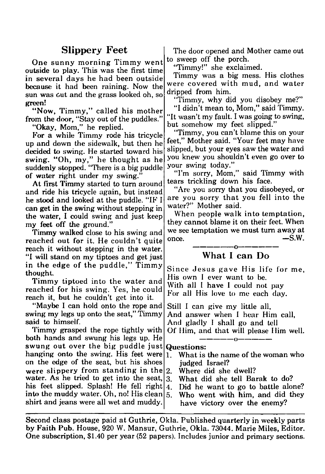One sunny morning Timmy went outside to play. This was the first time in several days he had been outside because it had been raining. Now the sun was out and the grass looked oh, so green!

"Now, Timmy," called his mother from the door, " Stay out of the puddles."

"Okay, Mom," he replied.

For a while Timmy rode his tricycle up and down the sidewalk, but then he decided to swing. He started toward his swing. "Oh, my," he thought as he suddenly stopped. "There is a big puddle of water right under my swing."

At first Timmy started to turn around and ride his tricycle again, but instead he stood and looked at the puddle. "IF I can get in the swing without stepping in the water, I could swing and just keep my feet off the ground."

Timmy walked close to his swing and reached out for it. He couldn't quite reach it without stepping in the water. "I will stand on my tiptoes and get just in the edge of the puddle," Timmy thought.

Timmy tiptoed into the water and reached for his swing. Yes, he could reach it, but he couldn't get into it.

" Maybe I can hold onto the rope and swing my legs up onto the seat," Timmy said to himself.

Timmy grasped the rope tightly with both hands and swung his legs up. He swung out over the big puddle just hanging onto the swing. His feet were  $\left| \right|$ . on the edge of the seat, but his shoes were slippery from standing in the  $2$ . water. As he tried to get into the seat,  $|3|$ . his feet slipped. Splash! He fell right  $4$ . into the muddy water. Oh, no! His clean  $5$ . shirt and jeans were all wet and muddy.

Slippery Feet The door opened and Mother came out to sweep off the porch.

"Timmy!" she exclaimed.

Timmy was a big mess. His clothes were covered with mud, and water dripped from him.

"Timmy, why did you disobey me?"

"I didn't mean to, Mom," said Timmy. " It wasn't my fault. I was going to swing, but somehow my feet slipped."

"Timmy, you can't blame this on your feet," Mother said. "Your feet may have slipped, but your eyes saw the water and you knew you shouldn't even go over to your swing today."

"I'm sorry, Mom," said Timmy with tears trickling down his face.

" Are you sorry that you disobeyed, or are you sorry that you fell into the water?" Mother said.

When people walk into temptation, they cannot blame it on their feet. When we see temptation we must turn away at  $\sim$  S.W. **---------------o---------------**

### What I can Do

Since Jesus gave His life for me, His own I ever want to be. With all I have I could not pay For all His love to me each day.

Still I can give my little all, And answer when I hear Him call, And gladly I shall go and tell Of Him, and that will please Him well. **------------ o------------**

#### Questions:

- What is the name of the woman who judged Israel?
- 2. Where did she dwell?
- 3. What did she tell Barak to do?
- Did he want to go to battle alone?
- Who went with him, and did they
	- have victory over the enemy?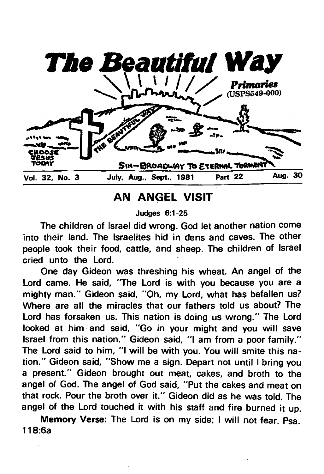

# **AN ANGEL VISIT**

**Judges 6:1 -25**

**The children of Israel did wrong. God let another nation come into their land. The Israelites hid in dens and caves. The other people took their food, cattle, and sheep. The children of Israel cried unto the Lord.**

**One day Gideon was threshing his wheat. An angel of the Lord came. He said, "The Lord is with you because you are a mighty man." Gideon said, "Oh, my Lord, what has befallen us? Where are all the miracles that our fathers told us about? The Lord has forsaken us. This nation is doing us wrong." The Lord looked at him and said, "Go in your might and you will save Israel from this nation." Gideon said, "I am from a poor family." The Lord said to him, "I will be with you. You will smite this nation." Gideon said, "Show me a sign. Depart not until I bring you a present." Gideon brought out meat, cakes, and broth to the angel of God. The angel of God said, "Put the cakes and meat on that rock. Pour the broth over it." Gideon did as he was told. The angel of the Lord touched it with his staff and fire burned it up.**

**Memory Verse: The Lord is on my side; I will not fear. Psa. 118:6a**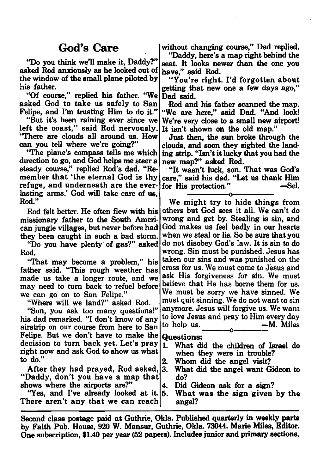## God's Care

"Do you think we'll make it, Daddy?" asked Rod anxiously as he looked out of have," said Rod. the window of the small plane piloted by his father.

"Of course," replied his father. "We asked God to take us safely to San Felipe, and I'm trusting Him to do it."

"But it's been raining ever since we left the coast," said Rod nervously. "There are clouds all around us. How can you tell where we're going?"

"The plane's compass tells me which direction to go, and God helps me steer a steady course," replied Rod's dad. "Remember that 'the eternal God is thy refuge, and underneath are the everlasting arms.' God will take care of us, Rod."

Rod felt better. He often flew with his missionary father to the South American jungle villages, but never before had they been caught in such a bad storm.

"Do you have plenty of gas?" asked Rod.

"That may become a problem," his father said. "This rough weather has made us take a longer route, and we may need to turn back to refuel before we can go on to San Felipe."

"Where will we land?" asked Rod.

"Son, you ask too many questions!" his dad remarked. "I don't know of any airstrip on our course from here to San Felipe. But we don't have to make the decision to turn back yet. Let's pray right now and ask God to show us what to do."

After they had prayed, Rod asked, " Daddy, don't you have a map that shows where the airports are?"

"Yes, and I've already looked at it. 5. There aren't any that we can reach

without changing course," Dad replied.

" Daddy, here's a map right behind the seat. It looks newer than the one you

" You're right. I 'd forgotten about getting that new one a few days ago," Dad said.

Rod and his father scanned the map. "We are here," said Dad. "And look! We're very close to a small new airport! It isn't shown on the old map."

Just then, the sun broke through the clouds, and soon they sighted the landing strip. "Isn't it lucky that you had the new map?" asked Rod.

" It wasn't luck, son. That was God's care," said his dad. "Let us thank Him for His protection." —Sel. **---------------o---------------**

We might try to hide things from others but God sees it all. We can't do wrong and get by. Stealing is sin, and God makes us feel badly in our hearts when we steal or lie. So be sure that you do not disobey God's law. It is sin to do wrong. Sin must be punished. Jesus has taken our sins and was punished on the cross for us. We must come to Jesus and ask His forgiveness for sin. We must believe that He has borne them for us. We must be sorry we have sinned. We must quit sinning. We do not want to sin anymore. Jesus will forgive us. We want to love Jesus and pray to Him every day to help us. —M. Miles **----------o------------**

#### **Questions:**

- 1. What did the children of Israel do when they were in trouble?
- 2. Whom did the angel visit?
- 3. What did the angel want Gideon to do?
- 4. Did Gideon ask for a sign?
	- What was the sign given by the angel?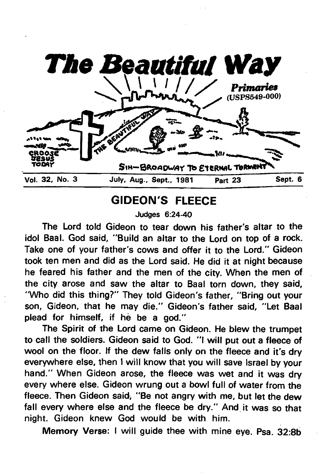

# **GIDEON'S FLEECE**

**Judges 6:24-40**

**The Lord told Gideon to tear down his father's altar to the idol Baal. God said, "Build an altar to the Lord on top of a rock. Take one of your father's cows and offer it to the Lord." Gideon took ten men and did as the Lord said. He did it at night because he feared his father and the men of the city. When the men of the city arose and saw the altar to Baal torn down, they said, "Who did this thing?" They told Gideon's father, "Bring out your son, Gideon, that he may die." Gideon's father said, "Let Baal plead for himself, if he be a god."**

**The Spirit of the Lord came on Gideon. He blew the trumpet to call the soldiers. Gideon said to God. "I will put out a fleece of wool on the floor. If the dew falls only on the fleece and it's dry everywhere else, then I will know that you will save Israel by your hand." When Gideon arose, the fleece was wet and it was dry every where else. Gideon wrung out a bowl full of water from the fleece. Then Gideon said, "Be not angry with me, but let the dew fall every where else and the fleece be dry." And it was so that night. Gideon knew God would be with him.**

**Memory Verse: I will guide thee with mine eye. Psa. 32:8b**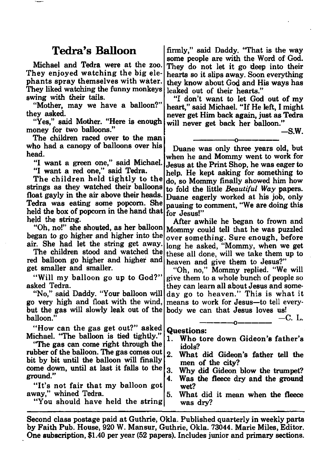## Tedra's Balloon

Michael and Tedra were at the zoo. They enjoyed watching the big elephants spray themselves with water. They liked watching the funny monkeys swing with their tails.

"Mother, may we have a balloon?" they asked.

"Yes," said Mother. "Here is enough money for two balloons."

The children raced over to the man who had a canopy of balloons over his head.

"I want a green one," said Michael. "I want a red one," said Tedra.

The children held tightly to the strings as they watched their balloons float gayly in the air above their heads. Tedra was eating some popcorn. She held the box of popcorn in the hand that  $\vert$  for Jesus!" held the string.

" Oh, no!" she shouted, as her balloon began to go higher and higher into the air. She had let the string get away.

The children stood and watched the red balloon go higher and higher and get smaller and smaller.

"Will my balloon go up to God?" asked Tedra.

" No," said Daddy. "Your balloon will go very high and float with the wind, but the gas will slowly leak out of the balloon."

"How can the gas get out?" asked Michael. "The balloon is tied tightly."

"The gas can come right through the rubber of the balloon. The gas comes out bit by bit until the balloon will finally come down, until at last it falls to the ground."

"It's not fair that my balloon got away," whined Tedra.

"You should have held the string

firmly," said Daddy. "That is the way some people are with the Word of God. They do not let it go deep into their hearts so it slips away. Soon everything they know about God and His ways has leaked out of their hearts."

"I don't want to let God out of my heart," said Michael. " If He left, I might never get Him back again, just as Tedra will never get back her balloon."

-S .W .

**---------------o---------------** Duane was only three years old, but when he and Mommy went to work for Jesus at the Print Shop, he was eager to help. He kept asking for something to do, so Mommy finally showed him how to fold the little *Beautiful Way* papers. Duane eagerly worked at his job, only pausing to comment, " We are doing this

After awhile he began to frown and Mommy could tell that he was puzzled over something. Sure enough, before long he asked, "Mommy, when we get these all done, will we take them up to heaven and give them to Jesus?"

"Oh, no," Mommy replied. "We will give them to a whole bunch of people so they can learn all about Jesus and someday go to heaven." This is what it means to work for Jesus—to tell everybody we can that Jesus loves us!

—C. L. **------------ o------------**

#### **Questions:**

- 1. Who tore down Gideon's father's idols?
- 2. What did Gideon's father tell the men of the city?
- 3. Why did Gideon blow the trumpet?
- 4. Was the fleece dry and the ground wet?
- 5. What did it mean when the fleece was dry?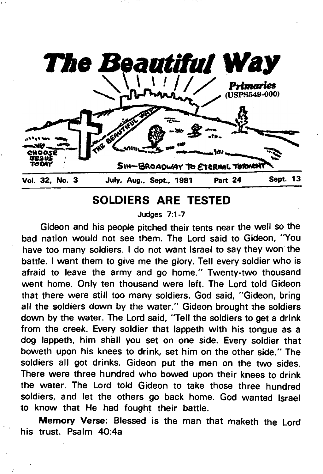

# **SOLDIERS ARE TESTED**

**Judges 7:1-7**

**Gideon and his people pitched their tents near the well so the bad nation would not see them. The Lord said to Gideon, "You have too many soldiers. I do not want Israel to say they won the battle. I want them to give me the glory. Tell every soldier who is afraid to leave the army and go home." Twenty-two thousand went home. Only ten thousand were left. The Lord told Gideon that there were still too many soldiers. God said, "Gideon, bring all the soldiers down by the water." Gideon brought the soldiers down by the water. The Lord said, "Tell the soldiers to get a drink from the creek. Every soldier that lappeth with his tongue as a dog lappeth, him shall you set on one side. Every soldier that boweth upon his knees to drink, set him on the other side." The soldiers all got drinks. Gideon put the men on the two sides. There were three hundred who bowed upon their knees to drink the water. The Lord told Gideon to take those three hundred soldiers, and let the others go back home. God wanted Israel to know that He had fought their battle.**

**Memory Verse: Blessed is the man that maketh the Lord his trust. Psalm 40:4a**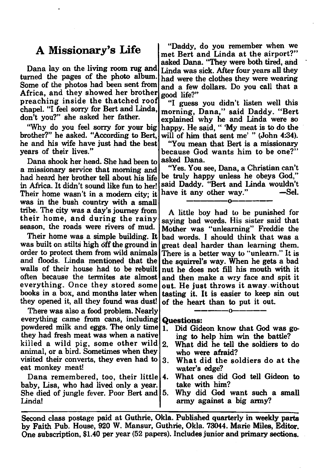## A Missionary's Life

Dana lay on the living room rug and turned the pages of the photo album. Some of the photos had been sent from Africa, and they showed her brother preaching inside the thatched roof chapel. "I feel sorry for Bert and Linda, don't you?" she asked her father.

"Why do you feel sorry for your big brother?" he asked. "According to Bert, he and his wife have just had the best years of their lives."

Dana shook her head. She had been to a missionary service that morning and had heard her brother tell about his life in Africa. It didn't sound like fun to her! Their home wasn't in a modem city; it was in the bush country with a small tribe. The city was a day's journey from their home, and during the rainy season, the roads were rivers of mud.

Their home was a simple building. It was built on stilts high off the ground in order to protect them from wild animals and floods. Linda mentioned that the walls of their house had to be rebuilt often because the termites ate almost everything. Once they stored some books in a box, and months later when they opened it, all they found was dust!

There was also a food problem. Nearly everything came from cans, including powdered milk and eggs. The only time they had fresh meat was when a native killed a wild pig, some other wild  $2$ . animal, or a bird. Sometimes when they visited their converts, they even had to eat monkey meat!

Dana remembered, too, their little baby, Lisa, who had lived only a year. She died of jungle fever. Poor Bert and Linda!

" Daddy, do you remember when we met Bert and Linda at the airport?" asked Dana. "They were both tired, and Linda was sick. After four years all they had were the clothes they were wearing and a few dollars. Do you call that a good life?"

"I guess you didn't listen well this morning, Dana," said Daddy. "Bert explained why he and Linda were so happy. He said, " 'My meat is to do the will of him that sent me' " (John 4:34).

" You mean that Bert is a missionary because God wants him to be one?" asked Dana.

"Yes. You see, Dana, a Christian can't be truly happy unless he obeys God," said Daddy. "Bert and Linda wouldn't<br>have it any other way." —Sel. have it any other way." **-----------------o-----------------**

A little boy had to be punished for saying bad words. His sister said that Mother was "unlearning" Freddie the bad words. I should think that was a great deal harder than learning them. There is a better way to "unlearn." It is the squirrel's way. When he gets a bad nut he does not fill his mouth with it and then make a wry face and spit it out. He just throws it away , without tasting it. It is easier to keep sin out of the heart than to put it out.

# **Questions:**

Did Gideon know that God was going to help him win the battle?

-------------- **o------------**

- What did he tell the soldiers to do who were afraid?
- 3. W hat did the soldiers do at the water's edge?
- 4. What ones did God tell Gideon to take with him?
- 5. Why did God want such a small army against a big army?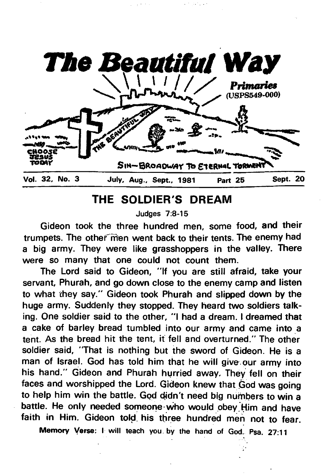

# **THE SOLDIER'S DREAM**

**Judges 7:8-15**

**Gideon took the three hundred men, some food, and their** trumpets. The other men went back to their tents. The enemy had **a big army. They were like grasshoppers in the valley. There were so many that one could not count them.**

**The Lord said to Gideon, "If you are still afraid, take your servant, Phurah, and go down close to the enemy camp and listen to what they say." Gideon took Phurah and slipped down by the huge army. Suddenly they stopped. They heard two soldiers talking. One soldier said to the other, "I had a dream. I dreamed that a cake of barley bread tumbled into our army and came into a tent. As the bread hit the tent, if fell and overturned." The other soldier said, "That is nothing but the sword of Gideon. He is a man of Israel. God has told him that he will give.our army into his hand." Gideon and Phurah hurried away. They fell on their faces and worshipped the Lord. Gideon knew that God was going to help him win the battle. God didn't need big numbers to win a battle. He only needed someone who would obey . Him and have faith in Him. Gideon told, his three hundred men not to fear.**

**Memory Verse: I will teach you by the hand of God. Psa. 27:11**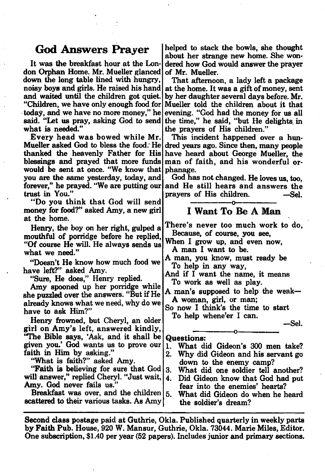## God Answers Prayer

It was the breakfast hour at the London Orphan Home. Mr. Mueller glanced down the long table lined with hungry, noisy boys and girls. He raised his hand and waited until the children got quiet. " Children, we have only enough food for today, and we have no more money," he said. " Let us pray, asking God to send what is needed."

Every head was bowed while Mr. Mueller asked God to bless the food.' He dred years ago. Since then, many people thanked the heavenly Father for His blessings and prayed that more funds would be sent at once. "We know that you are the same yesterday, today, and forever," he prayed. "We are putting our trust in You."

" Do you think that God will send money for food?" asked Amy, a new girl at the home.

Henry, the boy on her right, gulped a mouthful of porridge before he replied, "Of course He will. He always sends us what we need."

" Doesn't He know how much food we have left?" asked Amy.

" Sure, He does," Henry replied.

Amy spooned up her porridge while she puzzled over the answers. " But if He already knows what we need, why do we have to ask Him?"

Henry frowned, but Cheryl, an older girl on Amy's left, answered kindly,

'T he Bible says, 'Ask, and it shall be given you.' God wants us to prove our faith in Him by asking."

"What is faith?" asked Amy.

"Faith is believing for sure that God will answer," replied Cheryl. "Just wait, Amy. God never fails us."

Breakfast was over, and the children  $|5$ . scattered to their various tasks. As Amy

helped to stack the bowls, she thought about her strange new home. She wondered how God would answer the prayer of Mr. Mueller.

That afternoon, a lady left a package at the home. It was a gift of money, sent by her daughter several days before. Mr. Mueller told the children about it that evening. "God had the money for us all the time," he said, " but He delights, in the prayers of His children."

This incident happened over a hunhave heard about George Mueller, the man of faith, and his wonderful orphanage.

God has not changed. He loves us, too, and He still hears and answers the prayers of His children. —Sel. **---------------o---------------**

#### **I Want To Be A Man**

There's never too much work to do, Because, of course, you see,

When I grow up, and even now, A man I want to be.

A man, you know, must ready be To help in any way,

And if I want the name, it means To work as well as play.

A man's supposed to help the weak— A woman, girl, or man;

So now I think's the time to start To help whene'er I can.

-Sel.

#### Questions:

- **— o -------------------------** 1. What did Gideon's 300 men take?<br>2. Why did Gideon and his servant go
- Why did Gideon and his servant go down to the enemy camp?
- 3. What did one soldier tell another?
- 4. Did Gideon know that God had put fear into the enemies' hearts?

5. What did Gideon do when he heard the soldier's dream?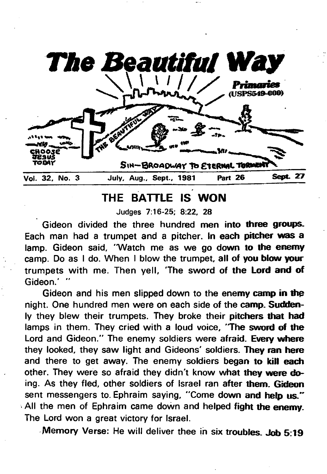

# **THE BATTLE IS WON**

**Judges 7:16-25; 8:22. 28**

**Gideon divided the three hundred men into three groups. Each man had a trumpet and a pitcher. In each pitcher was a lamp. Gideon said, "Watch me as we go down to the enemy camp. Do as I do. When I blow the trumpet, all of you blow your trumpets with me. Then yell, The sword of the Lord and of** Gideon.'

**Gideon and his men slipped down to the enemy camp in thp night. One hundred men were on each side of the camp. Suddenly they blew their trumpets. They broke their pitchers that had lamps in them. They cried with a loud voice, 'The sword of the Lord and Gideon." The enemy soldiers were afraid. Every where they looked, they saw light and Gideons' soldiers. They ran here and there to get away. The enemy soldiers began to** kill **each other. They were so afraid they didn't know what they were doing. As they fled, other soldiers of Israel ran after them. Gideon sent messengers to. Ephraim saying, "Come down and help us." All the men of Ephraim came down and helped fight the enemy. The Lord won a great victory for Israel.**

**Memory Verse: He will deliver thee in six troubles. Job 5:19**